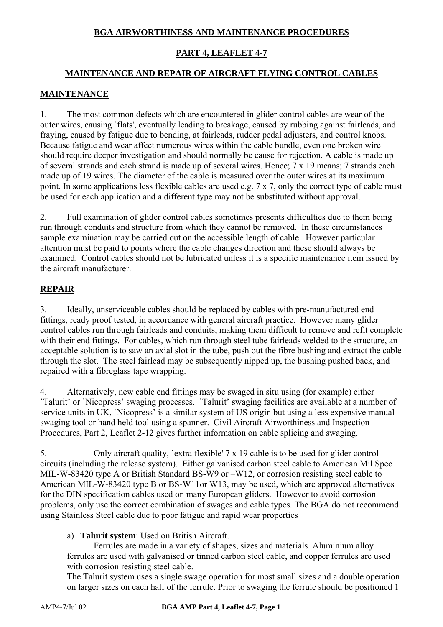# **BGA AIRWORTHINESS AND MAINTENANCE PROCEDURES**

## **PART 4, LEAFLET 4-7**

# **MAINTENANCE AND REPAIR OF AIRCRAFT FLYING CONTROL CABLES**

### **MAINTENANCE**

1. The most common defects which are encountered in glider control cables are wear of the outer wires, causing `flats', eventually leading to breakage, caused by rubbing against fairleads, and fraying, caused by fatigue due to bending, at fairleads, rudder pedal adjusters, and control knobs. Because fatigue and wear affect numerous wires within the cable bundle, even one broken wire should require deeper investigation and should normally be cause for rejection. A cable is made up of several strands and each strand is made up of several wires. Hence; 7 x 19 means; 7 strands each made up of 19 wires. The diameter of the cable is measured over the outer wires at its maximum point. In some applications less flexible cables are used e.g. 7 x 7, only the correct type of cable must be used for each application and a different type may not be substituted without approval.

2. Full examination of glider control cables sometimes presents difficulties due to them being run through conduits and structure from which they cannot be removed. In these circumstances sample examination may be carried out on the accessible length of cable. However particular attention must be paid to points where the cable changes direction and these should always be examined. Control cables should not be lubricated unless it is a specific maintenance item issued by the aircraft manufacturer.

## **REPAIR**

3. Ideally, unserviceable cables should be replaced by cables with pre-manufactured end fittings, ready proof tested, in accordance with general aircraft practice. However many glider control cables run through fairleads and conduits, making them difficult to remove and refit complete with their end fittings. For cables, which run through steel tube fairleads welded to the structure, an acceptable solution is to saw an axial slot in the tube, push out the fibre bushing and extract the cable through the slot. The steel fairlead may be subsequently nipped up, the bushing pushed back, and repaired with a fibreglass tape wrapping.

4. Alternatively, new cable end fittings may be swaged in situ using (for example) either `Talurit' or `Nicopress' swaging processes. `Talurit' swaging facilities are available at a number of service units in UK, `Nicopress' is a similar system of US origin but using a less expensive manual swaging tool or hand held tool using a spanner. Civil Aircraft Airworthiness and Inspection Procedures, Part 2, Leaflet 2-12 gives further information on cable splicing and swaging.

5. Only aircraft quality, `extra flexible' 7 x 19 cable is to be used for glider control circuits (including the release system). Either galvanised carbon steel cable to American Mil Spec MIL-W-83420 type A or British Standard BS-W9 or  $-W12$ , or corrosion resisting steel cable to American MIL-W-83420 type B or BS-W11or W13, may be used, which are approved alternatives for the DIN specification cables used on many European gliders. However to avoid corrosion problems, only use the correct combination of swages and cable types. The BGA do not recommend using Stainless Steel cable due to poor fatigue and rapid wear properties

## a) **Talurit system**: Used on British Aircraft.

 Ferrules are made in a variety of shapes, sizes and materials. Aluminium alloy ferrules are used with galvanised or tinned carbon steel cable, and copper ferrules are used with corrosion resisting steel cable.

The Talurit system uses a single swage operation for most small sizes and a double operation on larger sizes on each half of the ferrule. Prior to swaging the ferrule should be positioned 1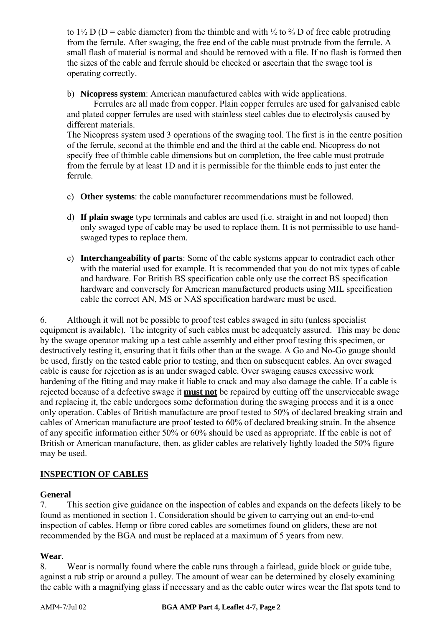to 1½ D (D = cable diameter) from the thimble and with ½ to  $\frac{2}{3}$  D of free cable protruding from the ferrule. After swaging, the free end of the cable must protrude from the ferrule. A small flash of material is normal and should be removed with a file. If no flash is formed then the sizes of the cable and ferrule should be checked or ascertain that the swage tool is operating correctly.

b) **Nicopress system**: American manufactured cables with wide applications.

 Ferrules are all made from copper. Plain copper ferrules are used for galvanised cable and plated copper ferrules are used with stainless steel cables due to electrolysis caused by different materials.

The Nicopress system used 3 operations of the swaging tool. The first is in the centre position of the ferrule, second at the thimble end and the third at the cable end. Nicopress do not specify free of thimble cable dimensions but on completion, the free cable must protrude from the ferrule by at least 1D and it is permissible for the thimble ends to just enter the ferrule.

- c) **Other systems**: the cable manufacturer recommendations must be followed.
- d) **If plain swage** type terminals and cables are used (i.e. straight in and not looped) then only swaged type of cable may be used to replace them. It is not permissible to use handswaged types to replace them.
- e) **Interchangeability of parts**: Some of the cable systems appear to contradict each other with the material used for example. It is recommended that you do not mix types of cable and hardware. For British BS specification cable only use the correct BS specification hardware and conversely for American manufactured products using MIL specification cable the correct AN, MS or NAS specification hardware must be used.

6. Although it will not be possible to proof test cables swaged in situ (unless specialist equipment is available). The integrity of such cables must be adequately assured. This may be done by the swage operator making up a test cable assembly and either proof testing this specimen, or destructively testing it, ensuring that it fails other than at the swage. A Go and No-Go gauge should be used, firstly on the tested cable prior to testing, and then on subsequent cables. An over swaged cable is cause for rejection as is an under swaged cable. Over swaging causes excessive work hardening of the fitting and may make it liable to crack and may also damage the cable. If a cable is rejected because of a defective swage it **must not** be repaired by cutting off the unserviceable swage and replacing it, the cable undergoes some deformation during the swaging process and it is a once only operation. Cables of British manufacture are proof tested to 50% of declared breaking strain and cables of American manufacture are proof tested to 60% of declared breaking strain. In the absence of any specific information either 50% or 60% should be used as appropriate. If the cable is not of British or American manufacture, then, as glider cables are relatively lightly loaded the 50% figure may be used.

# **INSPECTION OF CABLES**

## **General**

7. This section give guidance on the inspection of cables and expands on the defects likely to be found as mentioned in section 1. Consideration should be given to carrying out an end-to-end inspection of cables. Hemp or fibre cored cables are sometimes found on gliders, these are not recommended by the BGA and must be replaced at a maximum of 5 years from new.

## **Wear**.

8. Wear is normally found where the cable runs through a fairlead, guide block or guide tube, against a rub strip or around a pulley. The amount of wear can be determined by closely examining the cable with a magnifying glass if necessary and as the cable outer wires wear the flat spots tend to